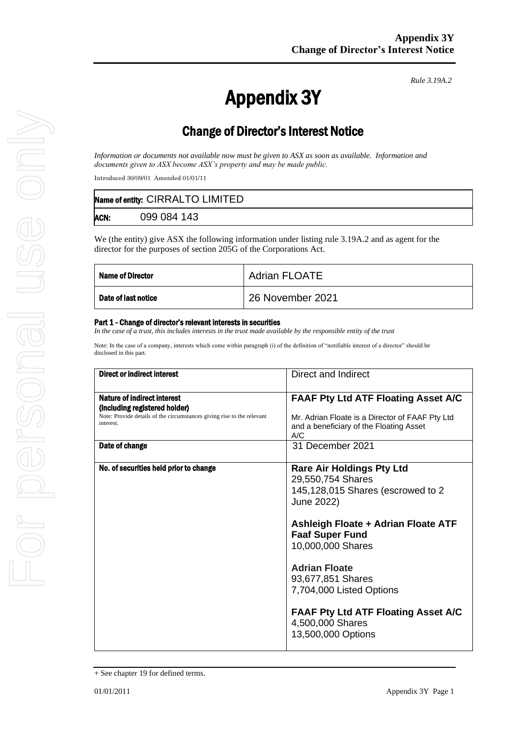*Rule 3.19A.2*

# Appendix 3Y

## Change of Director's Interest Notice

*Information or documents not available now must be given to ASX as soon as available. Information and documents given to ASX become ASX's property and may be made public.*

Introduced 30/09/01 Amended 01/01/11

|      | Name of entity: CIRRALTO LIMITED |
|------|----------------------------------|
| ACN: | 099 084 143                      |

We (the entity) give ASX the following information under listing rule 3.19A.2 and as agent for the director for the purposes of section 205G of the Corporations Act.

| <b>Name of Director</b> | <b>Adrian FLOATE</b> |
|-------------------------|----------------------|
| Date of last notice     | 26 November 2021     |

#### Part 1 - Change of director's relevant interests in securities

*In the case of a trust, this includes interests in the trust made available by the responsible entity of the trust* 

Note: In the case of a company, interests which come within paragraph (i) of the definition of "notifiable interest of a director" should be disclosed in this part.

| Direct or indirect interest                                                                                                                         | Direct and Indirect                                                                                                                                                                                                                                                     |
|-----------------------------------------------------------------------------------------------------------------------------------------------------|-------------------------------------------------------------------------------------------------------------------------------------------------------------------------------------------------------------------------------------------------------------------------|
| Nature of indirect interest<br>(including registered holder)<br>Note: Provide details of the circumstances giving rise to the relevant<br>interest. | <b>FAAF Pty Ltd ATF Floating Asset A/C</b><br>Mr. Adrian Floate is a Director of FAAF Pty Ltd<br>and a beneficiary of the Floating Asset<br>A/C                                                                                                                         |
| Date of change                                                                                                                                      | 31 December 2021                                                                                                                                                                                                                                                        |
| No. of securities held prior to change                                                                                                              | <b>Rare Air Holdings Pty Ltd</b><br>29,550,754 Shares<br>145,128,015 Shares (escrowed to 2<br>June 2022)<br>Ashleigh Floate + Adrian Floate ATF<br><b>Faaf Super Fund</b><br>10,000,000 Shares<br><b>Adrian Floate</b><br>93,677,851 Shares<br>7,704,000 Listed Options |
|                                                                                                                                                     | <b>FAAF Pty Ltd ATF Floating Asset A/C</b><br>4,500,000 Shares<br>13,500,000 Options                                                                                                                                                                                    |

<sup>+</sup> See chapter 19 for defined terms.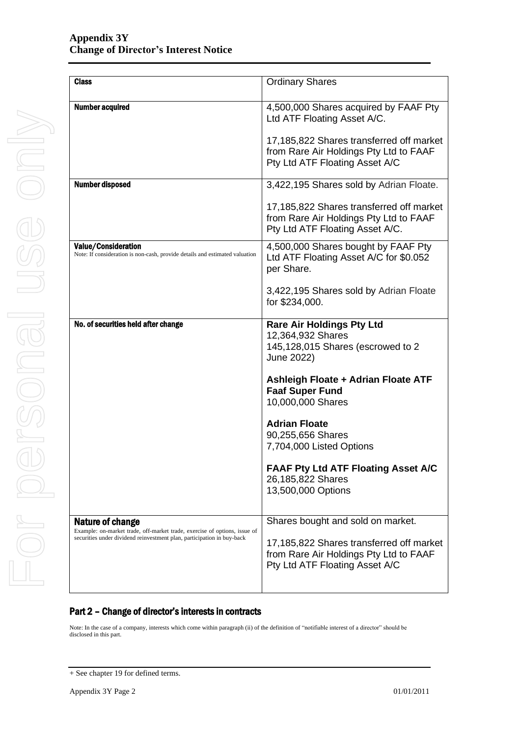| <b>Class</b>                                                                                              | <b>Ordinary Shares</b>                                                                                                |
|-----------------------------------------------------------------------------------------------------------|-----------------------------------------------------------------------------------------------------------------------|
| <b>Number acquired</b>                                                                                    | 4,500,000 Shares acquired by FAAF Pty<br>Ltd ATF Floating Asset A/C.                                                  |
|                                                                                                           | 17,185,822 Shares transferred off market<br>from Rare Air Holdings Pty Ltd to FAAF<br>Pty Ltd ATF Floating Asset A/C  |
| <b>Number disposed</b>                                                                                    | 3,422,195 Shares sold by Adrian Floate.                                                                               |
|                                                                                                           | 17,185,822 Shares transferred off market<br>from Rare Air Holdings Pty Ltd to FAAF<br>Pty Ltd ATF Floating Asset A/C. |
| <b>Value/Consideration</b><br>Note: If consideration is non-cash, provide details and estimated valuation | 4,500,000 Shares bought by FAAF Pty<br>Ltd ATF Floating Asset A/C for \$0.052<br>per Share.                           |
|                                                                                                           | 3,422,195 Shares sold by Adrian Floate<br>for \$234,000.                                                              |
| No. of securities held after change                                                                       | <b>Rare Air Holdings Pty Ltd</b><br>12,364,932 Shares<br>145,128,015 Shares (escrowed to 2<br>June 2022)              |
|                                                                                                           | Ashleigh Floate + Adrian Floate ATF<br><b>Faaf Super Fund</b><br>10,000,000 Shares                                    |
|                                                                                                           | <b>Adrian Floate</b><br>90,255,656 Shares<br>7,704,000 Listed Options                                                 |
|                                                                                                           | <b>FAAF Pty Ltd ATF Floating Asset A/C</b><br>26,185,822 Shares<br>13,500,000 Options                                 |
| <b>Nature of change</b><br>Example: on-market trade, off-market trade, exercise of options, issue of      | Shares bought and sold on market.                                                                                     |
| securities under dividend reinvestment plan, participation in buy-back                                    | 17,185,822 Shares transferred off market<br>from Rare Air Holdings Pty Ltd to FAAF<br>Pty Ltd ATF Floating Asset A/C  |
|                                                                                                           |                                                                                                                       |

#### Part 2 – Change of director's interests in contracts

Note: In the case of a company, interests which come within paragraph (ii) of the definition of "notifiable interest of a director" should be disclosed in this part.

<sup>+</sup> See chapter 19 for defined terms.